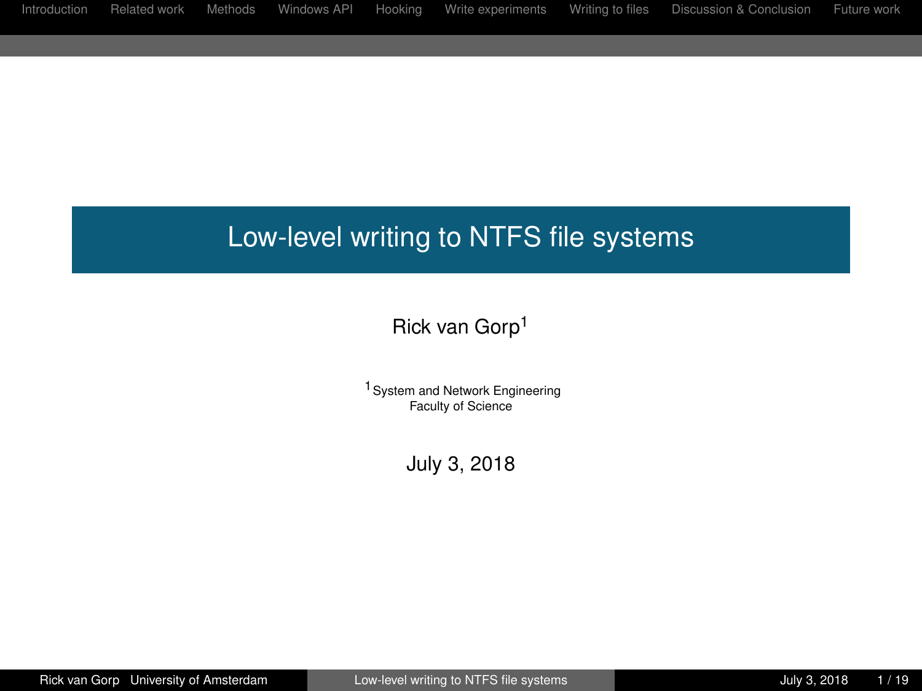# <span id="page-0-0"></span>Low-level writing to NTFS file systems

### Rick van Gorp<sup>1</sup>

1System and Network Engineering Faculty of Science

July 3, 2018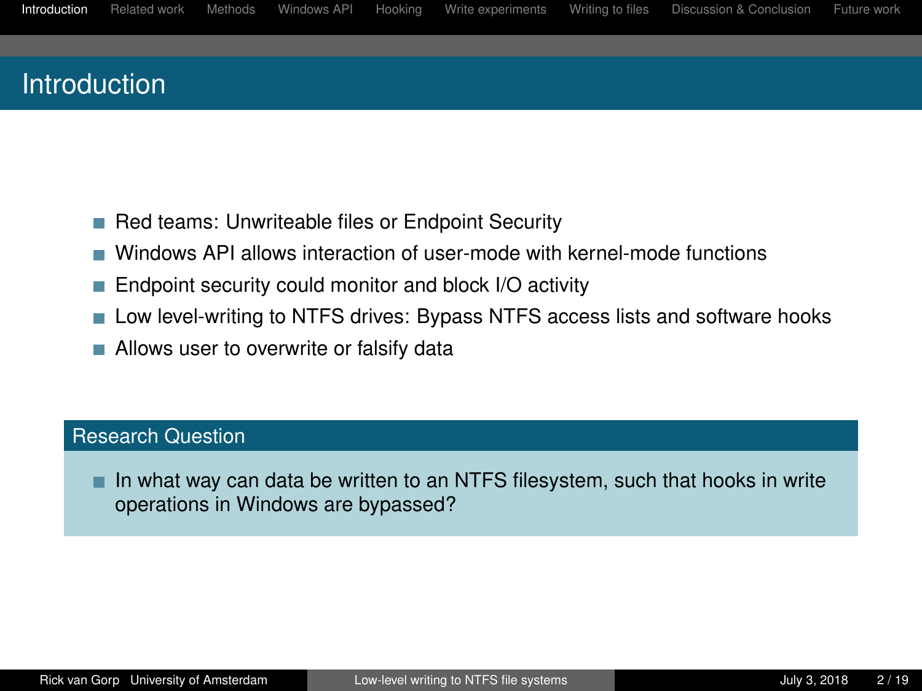## <span id="page-1-0"></span>Introduction

- Red teams: Unwriteable files or Endpoint Security
- Windows API allows interaction of user-mode with kernel-mode functions T.
- Endpoint security could monitor and block I/O activity
- **Low level-writing to NTFS drives: Bypass NTFS access lists and software hooks**
- **Allows user to overwrite or falsify data**

#### Research Question

In what way can data be written to an NTFS filesystem, such that hooks in write operations in Windows are bypassed?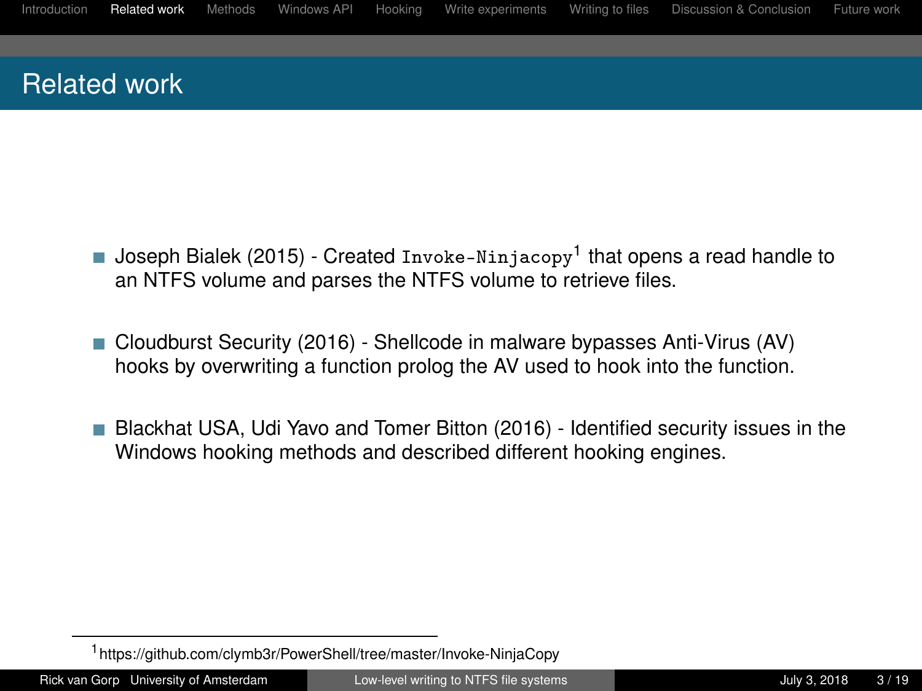## <span id="page-2-0"></span>Related work

- Joseph Bialek (2015) Created Invoke-Ninjacopy<sup>1</sup> that opens a read handle to an NTFS volume and parses the NTFS volume to retrieve files.
- Cloudburst Security (2016) Shellcode in malware bypasses Anti-Virus (AV) hooks by overwriting a function prolog the AV used to hook into the function.
- Blackhat USA, Udi Yavo and Tomer Bitton (2016) Identified security issues in the Windows hooking methods and described different hooking engines.

<sup>1</sup> https://github.com/clymb3r/PowerShell/tree/master/Invoke-NinjaCopy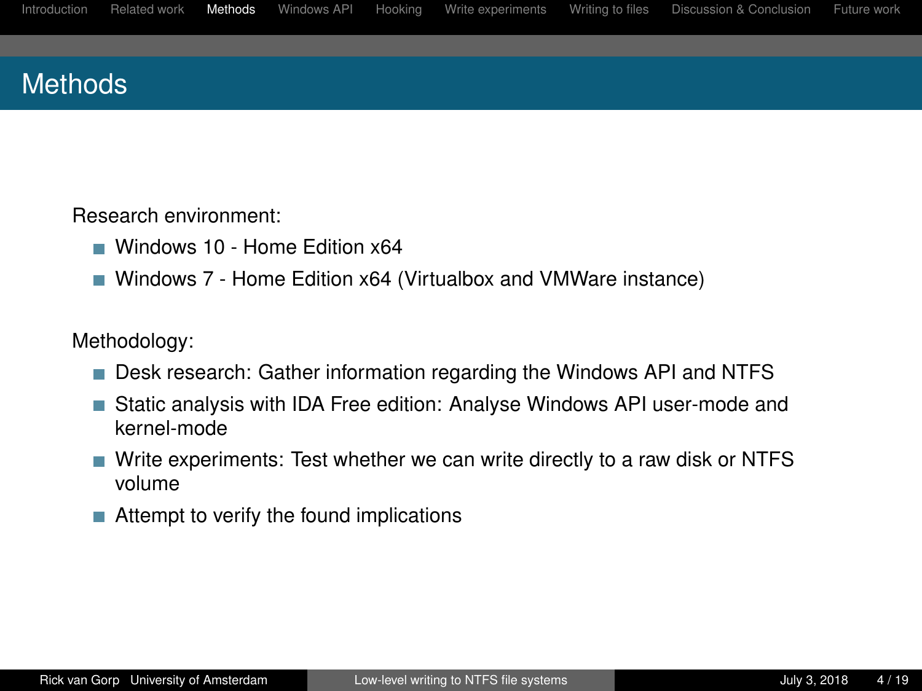<span id="page-3-0"></span>

## **Methods**

Research environment:

- Windows 10 Home Edition x64
- Windows 7 Home Edition x64 (Virtualbox and VMWare instance)

Methodology:

- **Desk research: Gather information regarding the Windows API and NTFS**
- Static analysis with IDA Free edition: Analyse Windows API user-mode and kernel-mode
- Write experiments: Test whether we can write directly to a raw disk or NTFS volume
- Attempt to verify the found implications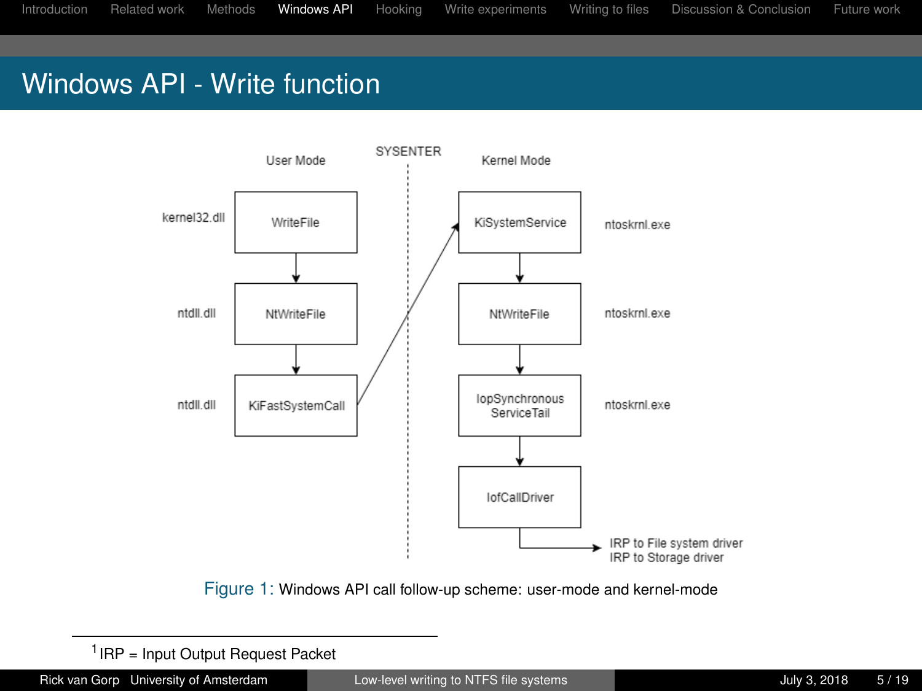## <span id="page-4-0"></span>Windows API - Write function



Figure 1: Windows API call follow-up scheme: user-mode and kernel-mode

<sup>1</sup> IRP = Input Output Request Packet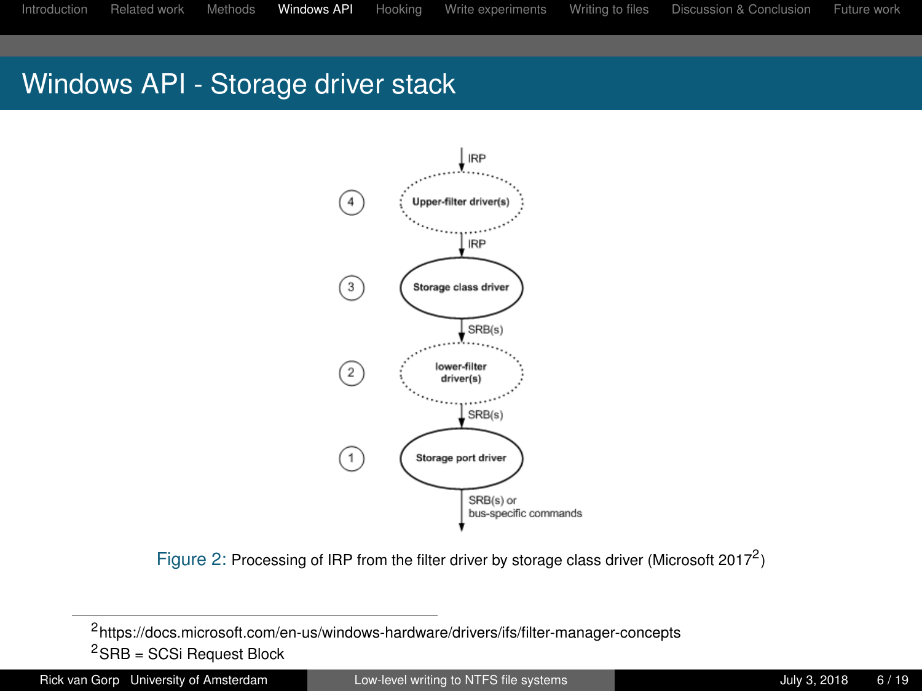## Windows API - Storage driver stack



Figure 2: Processing of IRP from the filter driver by storage class driver (Microsoft 2017<sup>2</sup>)

Rick van Gorp University of Amsterdam [Low-level writing to NTFS file systems](#page-0-0) July 3, 2018 6/19

<sup>2</sup> https://docs.microsoft.com/en-us/windows-hardware/drivers/ifs/filter-manager-concepts  ${}^{2}$ SRB = SCSi Request Block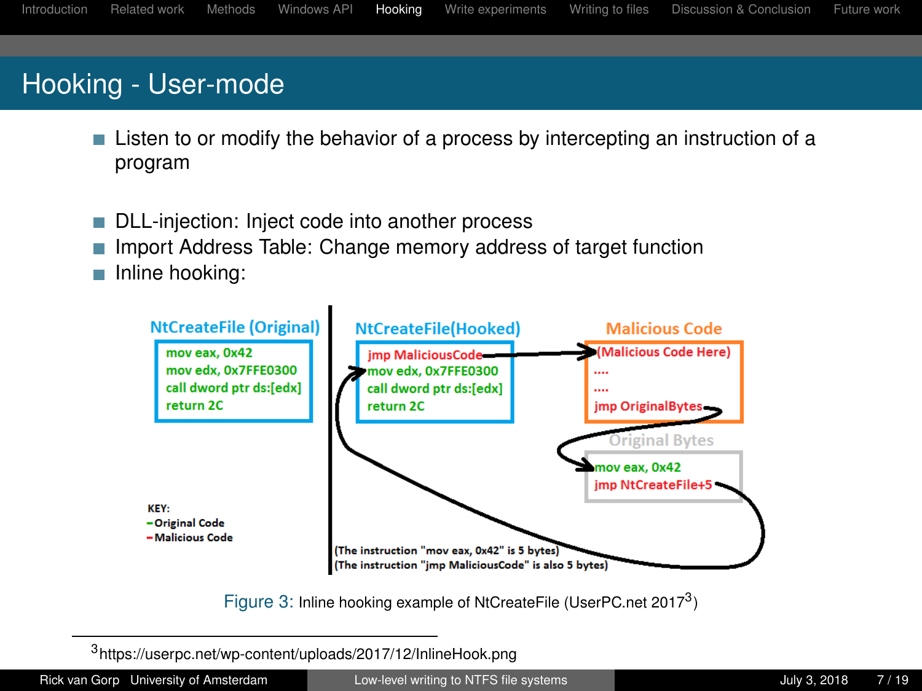# <span id="page-6-0"></span>Hooking - User-mode

- **Listen to or modify the behavior of a process by intercepting an instruction of a** program
- DLL-injection: Inject code into another process
- Import Address Table: Change memory address of target function
- Inline hooking:



Figure 3: Inline hooking example of NtCreateFile (UserPC.net 2017<sup>3</sup>)

3 https://userpc.net/wp-content/uploads/2017/12/InlineHook.png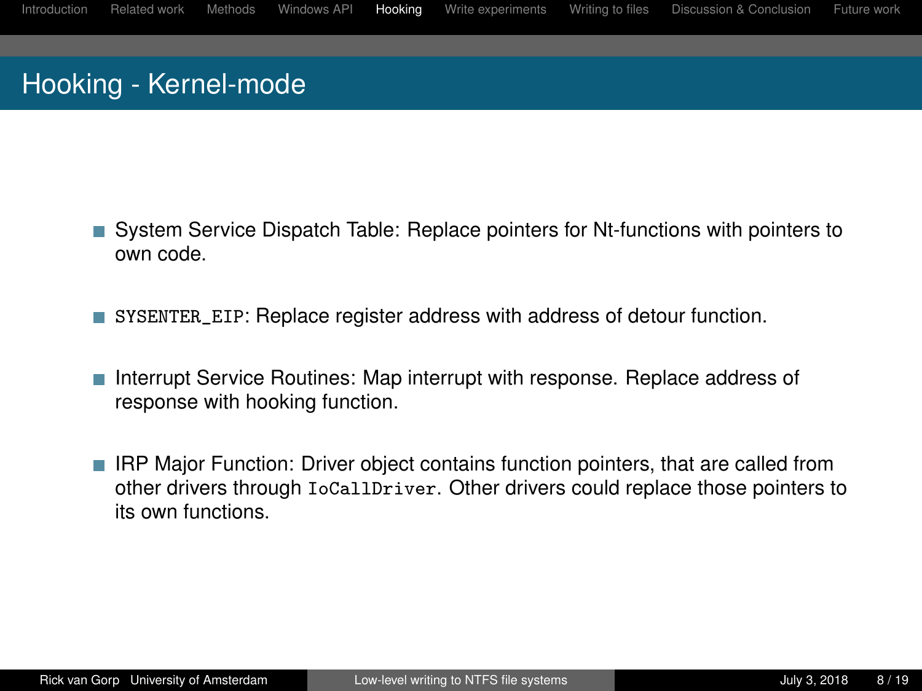# Hooking - Kernel-mode

- System Service Dispatch Table: Replace pointers for Nt-functions with pointers to own code.
- SYSENTER\_EIP: Replace register address with address of detour function.
- Interrupt Service Routines: Map interrupt with response. Replace address of response with hooking function.
- **IRP Major Function: Driver object contains function pointers, that are called from** other drivers through IoCallDriver. Other drivers could replace those pointers to its own functions.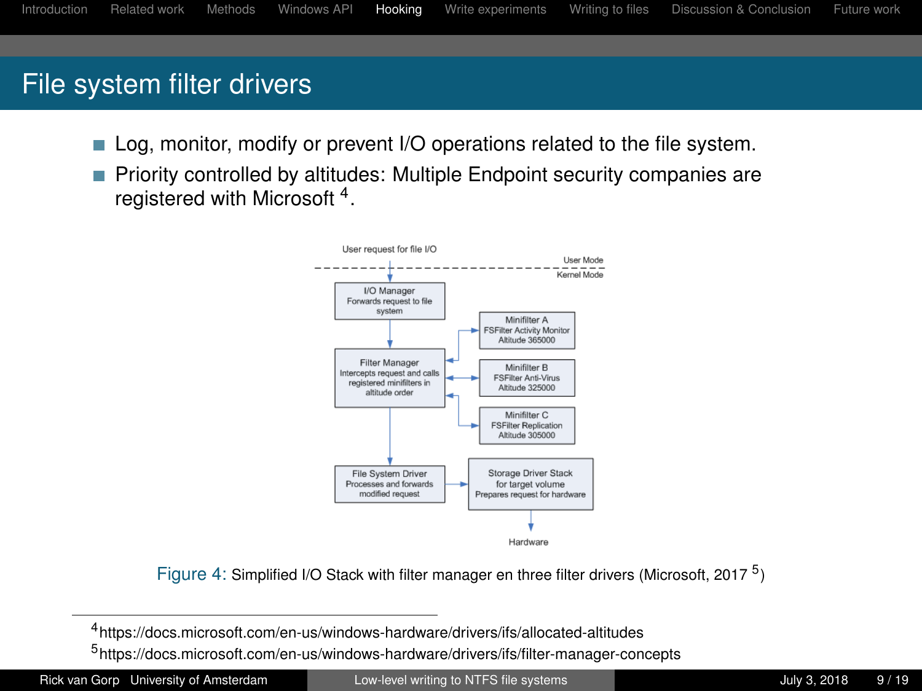## File system filter drivers

- Log, monitor, modify or prevent I/O operations related to the file system.
- Priority controlled by altitudes: Multiple Endpoint security companies are registered with Microsoft<sup>4</sup>.



Figure 4: Simplified I/O Stack with filter manager en three filter drivers (Microsoft, 2017<sup>5</sup>)

4 https://docs.microsoft.com/en-us/windows-hardware/drivers/ifs/allocated-altitudes

5 https://docs.microsoft.com/en-us/windows-hardware/drivers/ifs/filter-manager-concepts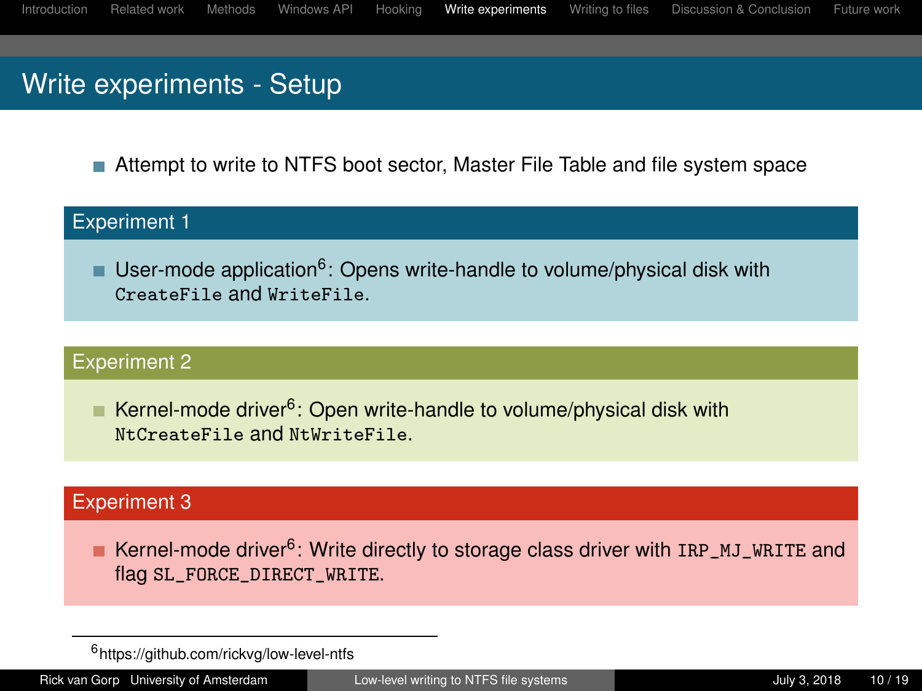## <span id="page-9-0"></span>Write experiments - Setup

Attempt to write to NTFS boot sector, Master File Table and file system space

#### Experiment 1

User-mode application<sup>6</sup>: Opens write-handle to volume/physical disk with CreateFile and WriteFile.

#### Experiment 2

Kernel-mode driver<sup>[6](#page-9-1)</sup>: Open write-handle to volume/physical disk with NtCreateFile and NtWriteFile.

#### Experiment 3

Kernel-mode driver<sup>[6](#page-9-1)</sup>: Write directly to storage class driver with IRP\_MJ\_WRITE and flag SL\_FORCE\_DIRECT\_WRITE.

<span id="page-9-1"></span><sup>6</sup> https://github.com/rickvg/low-level-ntfs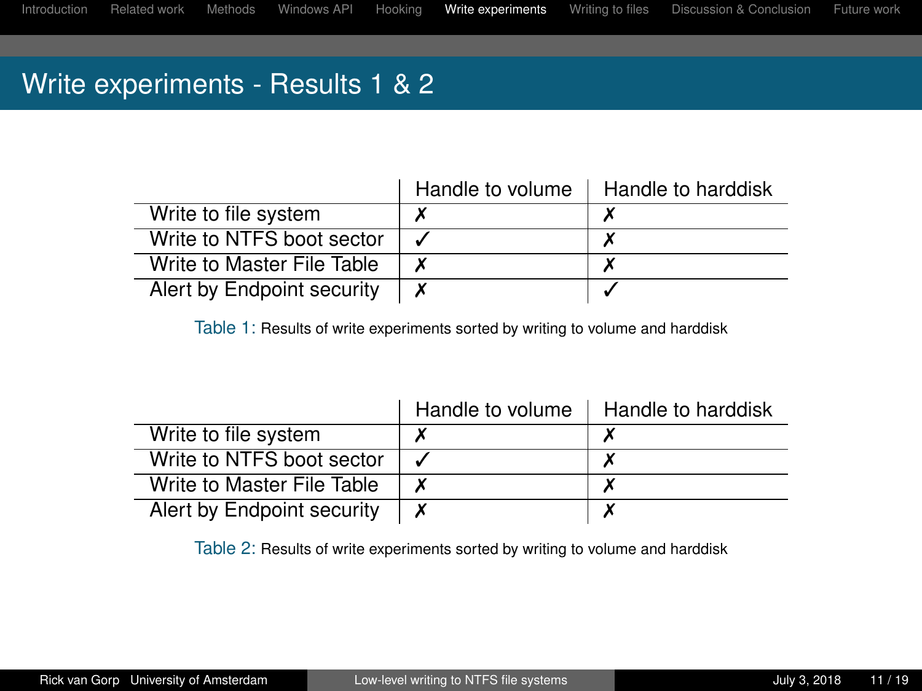## Write experiments - Results 1 & 2

|                            | Handle to volume | Handle to harddisk |
|----------------------------|------------------|--------------------|
| Write to file system       |                  |                    |
| Write to NTFS boot sector  |                  |                    |
| Write to Master File Table |                  |                    |
| Alert by Endpoint security | X                |                    |

Table 1: Results of write experiments sorted by writing to volume and harddisk

|                            | Handle to volume | Handle to harddisk |
|----------------------------|------------------|--------------------|
| Write to file system       |                  |                    |
| Write to NTFS boot sector  |                  |                    |
| Write to Master File Table |                  |                    |
| Alert by Endpoint security |                  |                    |

Table 2: Results of write experiments sorted by writing to volume and harddisk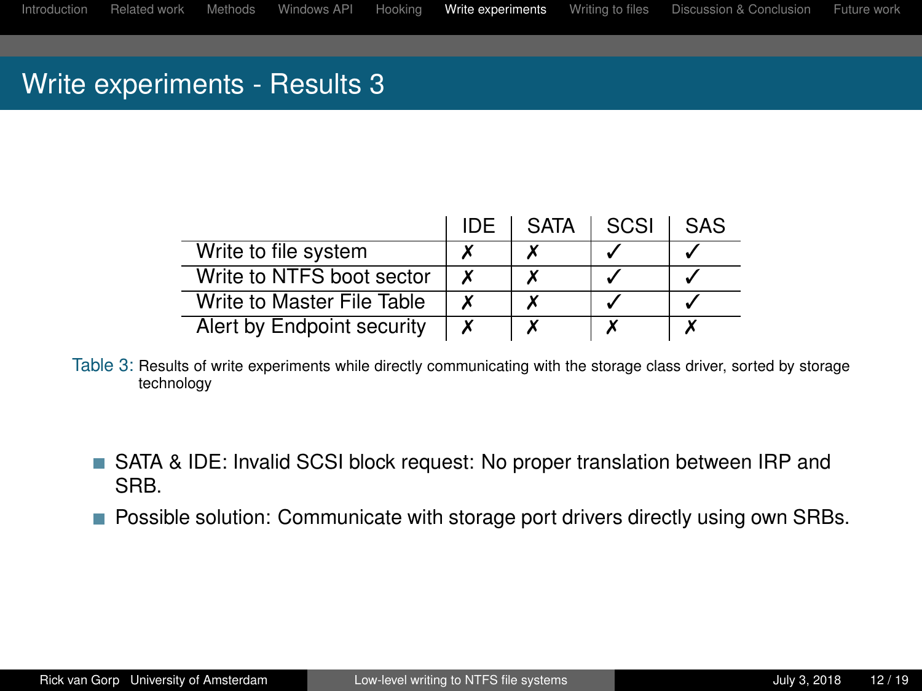### Write experiments - Results 3

|                            | IDE | <b>SATA</b> | SCSI | <b>SAS</b> |
|----------------------------|-----|-------------|------|------------|
| Write to file system       |     |             |      |            |
| Write to NTFS boot sector  | х   |             |      |            |
| Write to Master File Table | х   |             |      |            |
| Alert by Endpoint security | х   |             |      |            |

Table 3: Results of write experiments while directly communicating with the storage class driver, sorted by storage technology

- SATA & IDE: Invalid SCSI block request: No proper translation between IRP and SRB.
- **Possible solution: Communicate with storage port drivers directly using own SRBs.**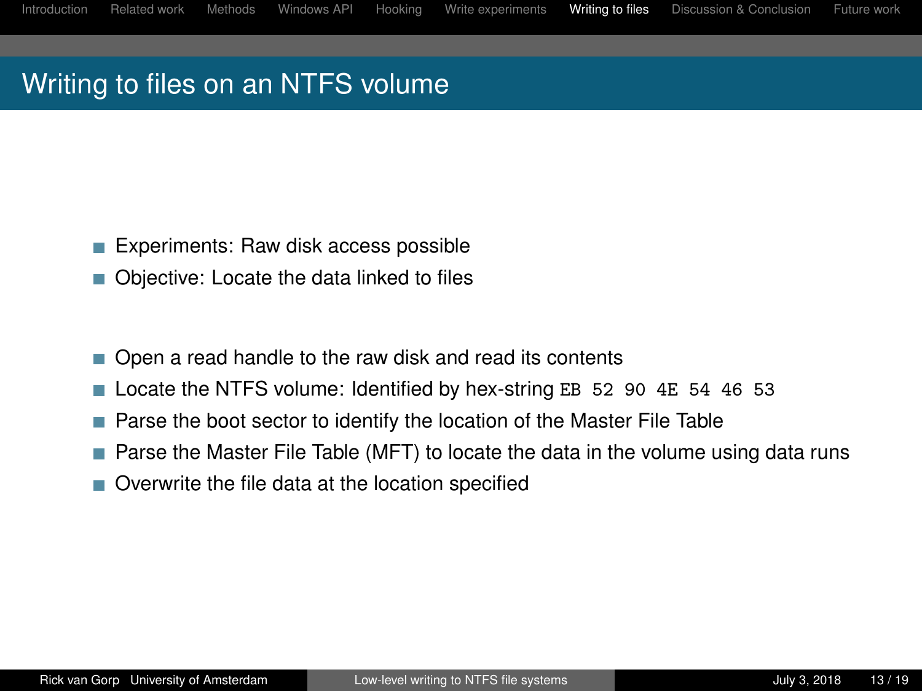## <span id="page-12-0"></span>Writing to files on an NTFS volume

- Experiments: Raw disk access possible
- Objective: Locate the data linked to files П
- Open a read handle to the raw disk and read its contents П
- Locate the NTFS volume: Identified by hex-string EB 52 90 4E 54 46 53
- Parse the boot sector to identify the location of the Master File Table T.
- **Parse the Master File Table (MFT) to locate the data in the volume using data runs**
- Overwrite the file data at the location specified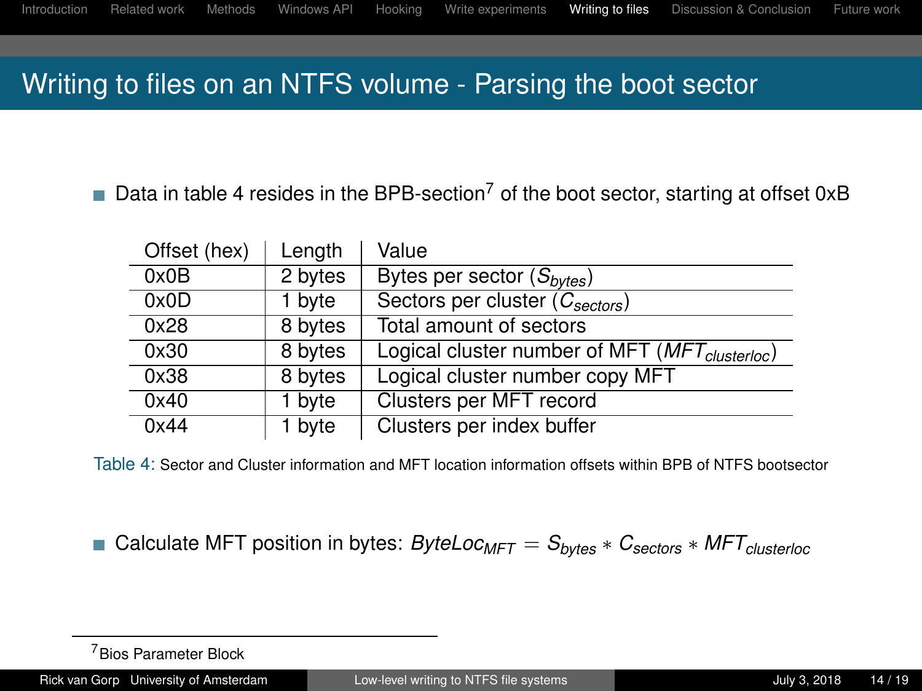### Writing to files on an NTFS volume - Parsing the boot sector

Data in table [4](#page-13-0) resides in the BPB-section<sup>7</sup> of the boot sector, starting at offset 0xB

| Offset (hex) | Length  | Value                                                      |
|--------------|---------|------------------------------------------------------------|
| 0x0B         | 2 bytes | Bytes per sector $(S_{bytes})$                             |
| 0x0D         | 1 byte  | Sectors per cluster $(C_{sectors})$                        |
| 0x28         | 8 bytes | Total amount of sectors                                    |
| 0x30         | 8 bytes | Logical cluster number of MFT (MFT <sub>clusterloc</sub> ) |
| 0x38         | 8 bytes | Logical cluster number copy MFT                            |
| 0x40         | 1 byte  | Clusters per MFT record                                    |
| 0x44         | 1 byte  | Clusters per index buffer                                  |

<span id="page-13-0"></span>Table 4: Sector and Cluster information and MFT location information offsets within BPB of NTFS bootsector

Calculate MFT position in bytes: *ByteLocMFT* = *Sbytes* ∗ *Csectors* ∗ *MFTclusterloc*

<sup>7</sup>Bios Parameter Block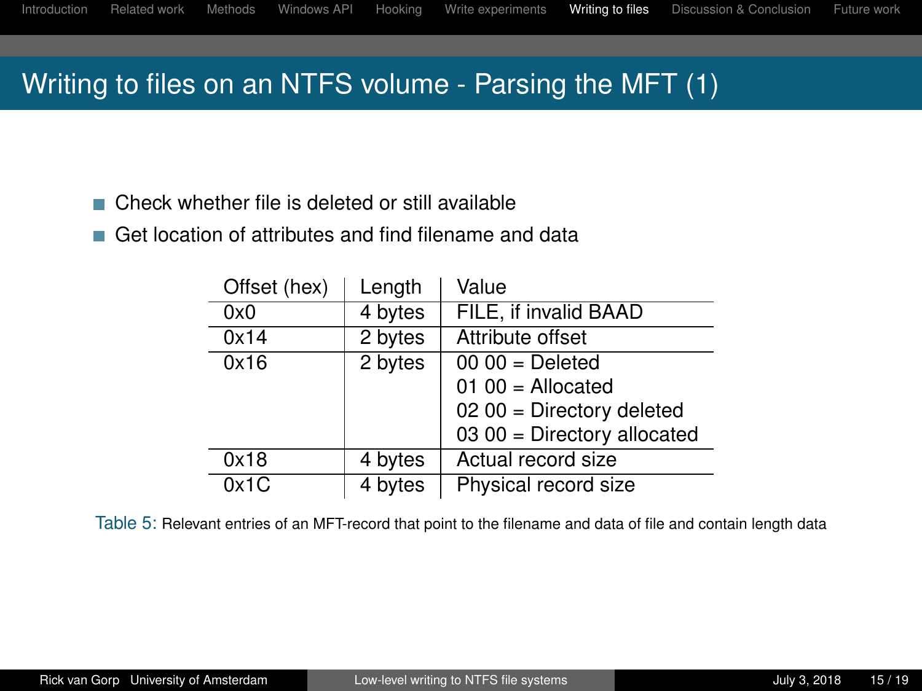## Writing to files on an NTFS volume - Parsing the MFT (1)

- Check whether file is deleted or still available
- Get location of attributes and find filename and data

| Offset (hex) | Length  | Value                                     |
|--------------|---------|-------------------------------------------|
| 0x0          | 4 bytes | FILE, if invalid BAAD                     |
| 0x14         | 2 bytes | Attribute offset                          |
| 0x16         | 2 bytes | $\overline{00}$ $\overline{00}$ = Deleted |
|              |         | $0100 =$ Allocated                        |
|              |         | $0200 =$ Directory deleted                |
|              |         | $0300$ = Directory allocated              |
| 0x18         | 4 bytes | Actual record size                        |
| 0x1C         | 4 bytes | Physical record size                      |

Table 5: Relevant entries of an MFT-record that point to the filename and data of file and contain length data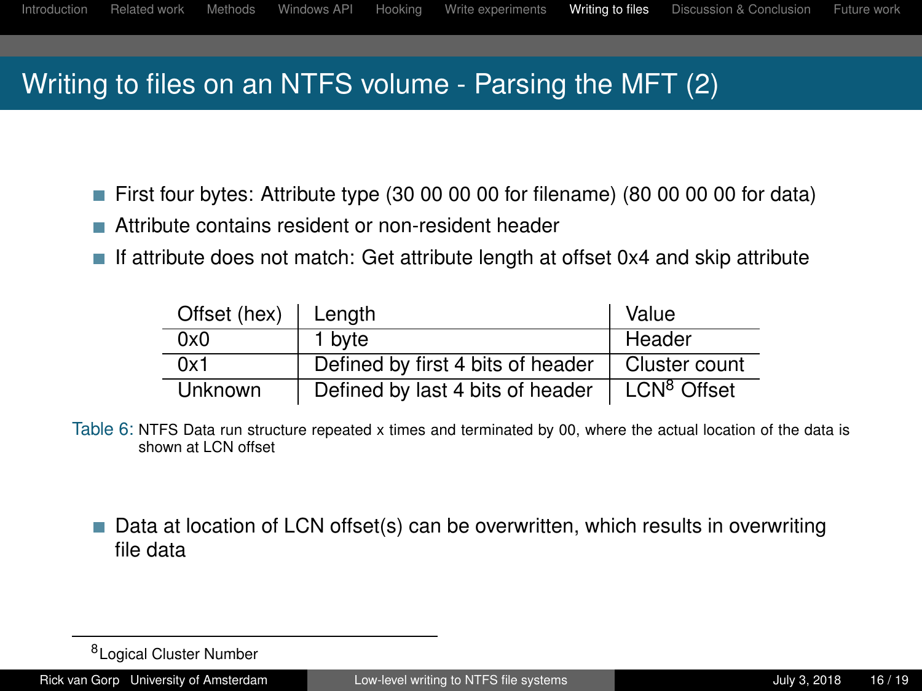# Writing to files on an NTFS volume - Parsing the MFT (2)

- First four bytes: Attribute type (30 00 00 00 for filename) (80 00 00 00 for data)
- Attribute contains resident or non-resident header
- If attribute does not match: Get attribute length at offset 0x4 and skip attribute

| Offset (hex)   Length |                                   | Value                   |
|-----------------------|-----------------------------------|-------------------------|
| 0x0                   | 1 byte                            | Header                  |
| 0x1                   | Defined by first 4 bits of header | Cluster count           |
| <b>Unknown</b>        | Defined by last 4 bits of header  | LCN <sup>8</sup> Offset |

Table 6: NTFS Data run structure repeated x times and terminated by 00, where the actual location of the data is shown at LCN offset

■ Data at location of LCN offset(s) can be overwritten, which results in overwriting file data

<sup>&</sup>lt;sup>8</sup>Logical Cluster Number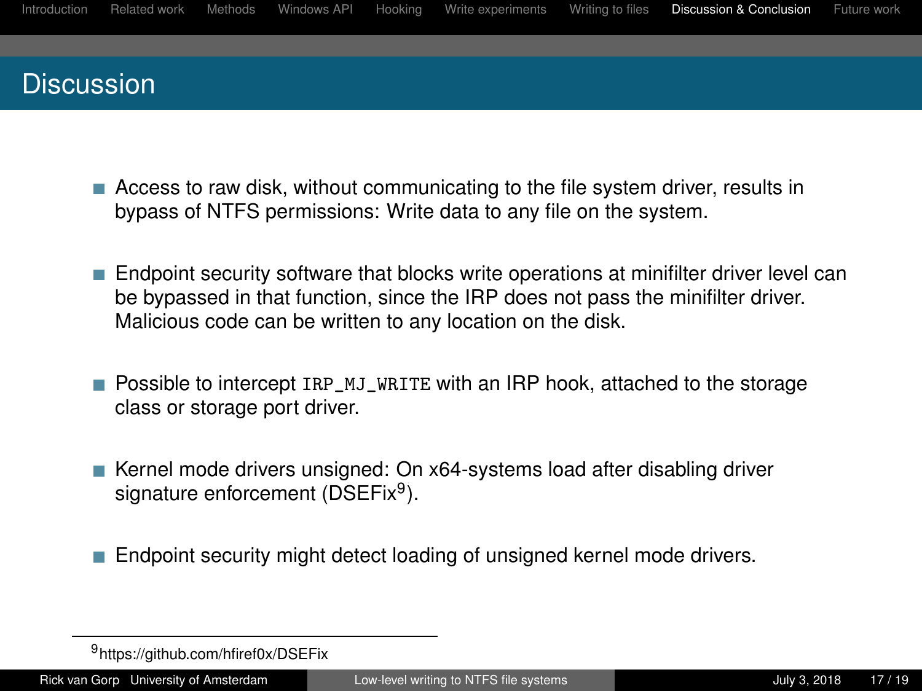<span id="page-16-0"></span>

- **EXEC** Access to raw disk, without communicating to the file system driver, results in bypass of NTFS permissions: Write data to any file on the system.
- **Endpoint security software that blocks write operations at minifilter driver level can** be bypassed in that function, since the IRP does not pass the minifilter driver. Malicious code can be written to any location on the disk.
- **Possible to intercept IRP\_MJ\_WRITE with an IRP hook, attached to the storage** class or storage port driver.
- Kernel mode drivers unsigned: On x64-systems load after disabling driver signature enforcement (DSEFix<sup>9</sup>).
- Endpoint security might detect loading of unsigned kernel mode drivers.

<sup>9</sup>https://github.com/hfiref0x/DSEFix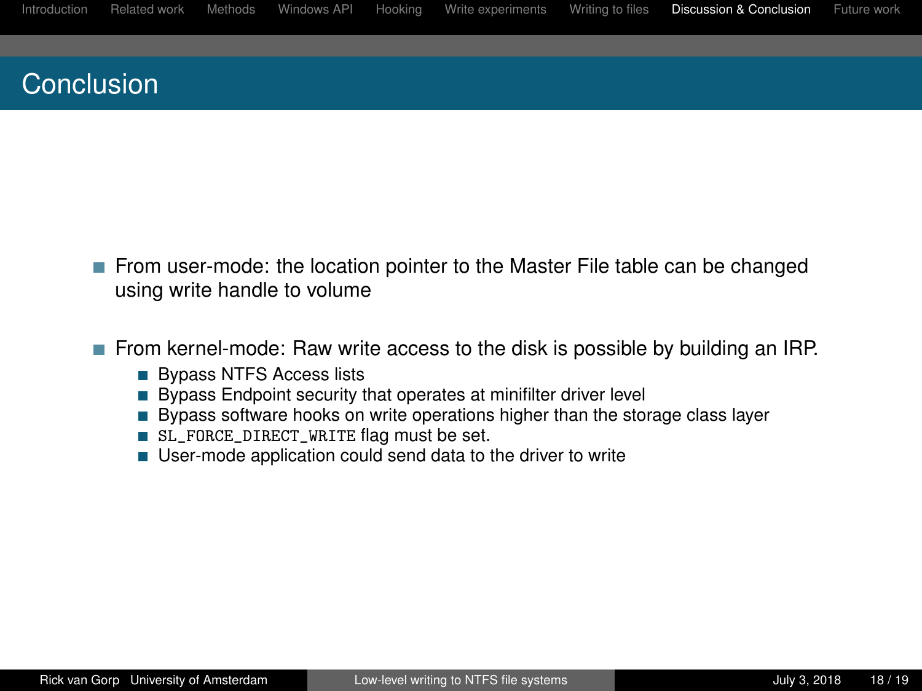## Conclusion

- From user-mode: the location pointer to the Master File table can be changed using write handle to volume
- **From kernel-mode: Raw write access to the disk is possible by building an IRP.** 
	- **Bypass NTFS Access lists**
	- $\blacksquare$  Bypass Endpoint security that operates at minifilter driver level
	- Bypass software hooks on write operations higher than the storage class layer
	- SL\_FORCE\_DIRECT\_WRITE flag must be set.
	- User-mode application could send data to the driver to write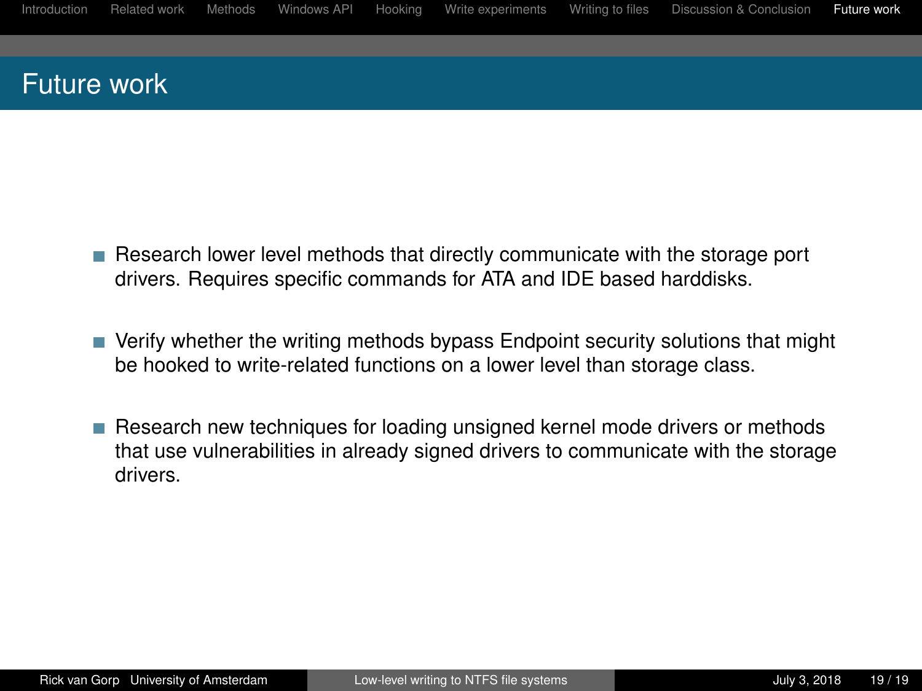### <span id="page-18-0"></span>Future work

- Research lower level methods that directly communicate with the storage port drivers. Requires specific commands for ATA and IDE based harddisks.
- Verify whether the writing methods bypass Endpoint security solutions that might be hooked to write-related functions on a lower level than storage class.
- Research new techniques for loading unsigned kernel mode drivers or methods that use vulnerabilities in already signed drivers to communicate with the storage drivers.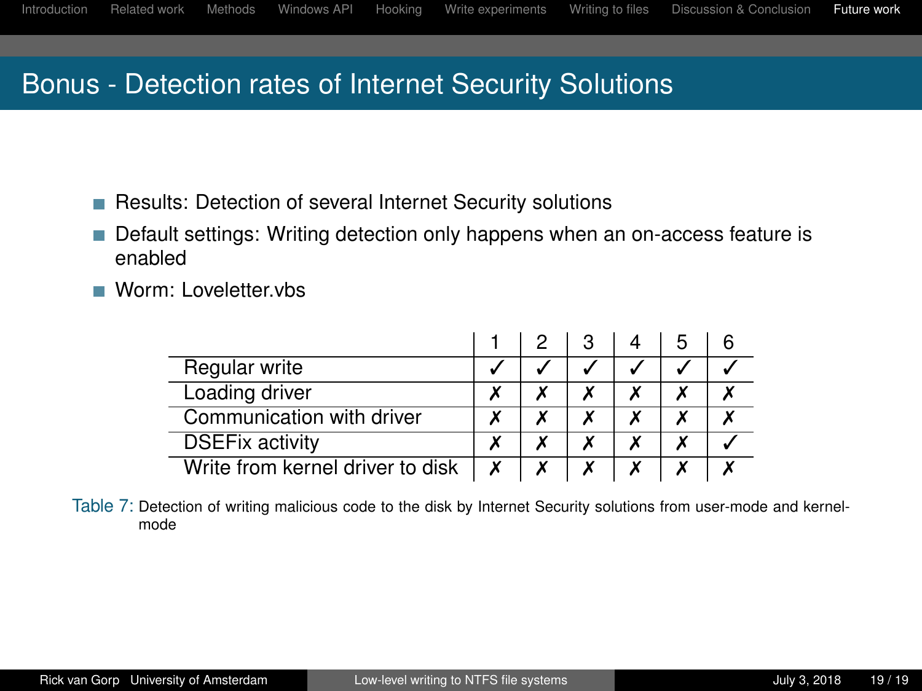## Bonus - Detection rates of Internet Security Solutions

- Results: Detection of several Internet Security solutions
- Default settings: Writing detection only happens when an on-access feature is enabled
- Worm: Loveletter.vbs

| Regular write                    |  |  |  |
|----------------------------------|--|--|--|
| Loading driver                   |  |  |  |
| Communication with driver        |  |  |  |
| <b>DSEFix activity</b>           |  |  |  |
| Write from kernel driver to disk |  |  |  |

Table 7: Detection of writing malicious code to the disk by Internet Security solutions from user-mode and kernelmode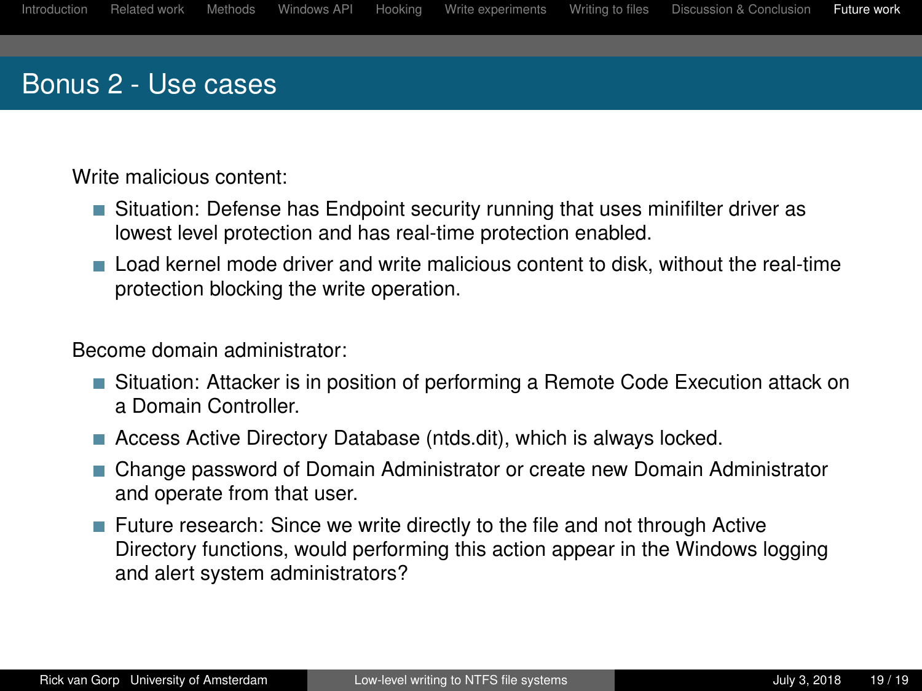### Bonus 2 - Use cases

Write malicious content:

- Situation: Defense has Endpoint security running that uses minifilter driver as lowest level protection and has real-time protection enabled.
- Load kernel mode driver and write malicious content to disk, without the real-time protection blocking the write operation.

Become domain administrator:

- Situation: Attacker is in position of performing a Remote Code Execution attack on a Domain Controller.
- Access Active Directory Database (ntds.dit), which is always locked.
- Change password of Domain Administrator or create new Domain Administrator and operate from that user.
- Future research: Since we write directly to the file and not through Active Directory functions, would performing this action appear in the Windows logging and alert system administrators?